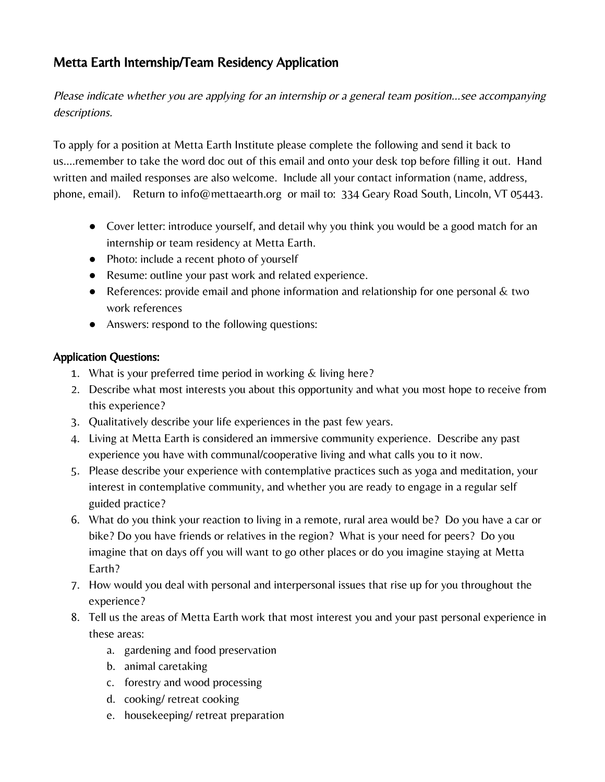## Metta Earth Internship/Team Residency Application

Please indicate whether you are applying for an internship or a general team position…see accompanying descriptions.

To apply for a position at Metta Earth Institute please complete the following and send it back to us….remember to take the word doc out of this email and onto your desk top before filling it out. Hand written and mailed responses are also welcome. Include all your contact information (name, address, phone, email). Return to info@mettaearth.org or mail to: 334 Geary Road South, Lincoln, VT 05443.

- Cover letter: introduce yourself, and detail why you think you would be a good match for an internship or team residency at Metta Earth.
- Photo: include a recent photo of yourself
- Resume: outline your past work and related experience.
- References: provide email and phone information and relationship for one personal  $\&$  two work references
- Answers: respond to the following questions:

## Application Questions:

- 1. What is your preferred time period in working & living here?
- 2. Describe what most interests you about this opportunity and what you most hope to receive from this experience?
- 3. Qualitatively describe your life experiences in the past few years.
- 4. Living at Metta Earth is considered an immersive community experience. Describe any past experience you have with communal/cooperative living and what calls you to it now.
- 5. Please describe your experience with contemplative practices such as yoga and meditation, your interest in contemplative community, and whether you are ready to engage in a regular self guided practice?
- 6. What do you think your reaction to living in a remote, rural area would be? Do you have a car or bike? Do you have friends or relatives in the region? What is your need for peers? Do you imagine that on days off you will want to go other places or do you imagine staying at Metta Earth?
- 7. How would you deal with personal and interpersonal issues that rise up for you throughout the experience?
- 8. Tell us the areas of Metta Earth work that most interest you and your past personal experience in these areas:
	- a. gardening and food preservation
	- b. animal caretaking
	- c. forestry and wood processing
	- d. cooking/ retreat cooking
	- e. housekeeping/ retreat preparation